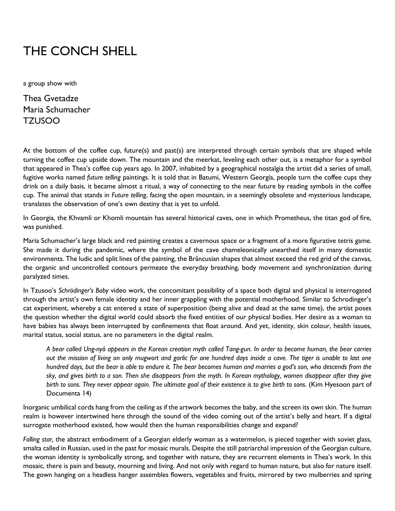## THE CONCH SHELL

a group show with

Thea Gvetadze Maria Schumacher TZUSOO

At the bottom of the coffee cup, future(s) and past(s) are interpreted through certain symbols that are shaped while turning the coffee cup upside down. The mountain and the meerkat, leveling each other out, is a metaphor for a symbol that appeared in Thea's coffee cup years ago. In 2007, inhabited by a geographical nostalgia the artist did a series of small, fugitive works named *future telling* paintings. It is told that in Batumi, Western Georgia, people turn the coffee cups they drink on a daily basis, it became almost a ritual, a way of connecting to the near future by reading symbols in the coffee cup. The animal that stands in *Future telling*, facing the open mountain, in a seemingly obsolete and mysterious landscape, translates the observation of one's own destiny that is yet to unfold.

In Georgia, the Khvamli or Khomli mountain has several historical caves, one in which Prometheus, the titan god of fire, was punished.

Maria Schumacher's large black and red painting creates a cavernous space or a fragment of a more figurative tetris game. She made it during the pandemic, where the symbol of the cave chameleonically unearthed itself in many domestic environments. The ludic and split lines of the painting, the Brâncusian shapes that almost exceed the red grid of the canvas, the organic and uncontrolled contours permeate the everyday breathing, body movement and synchronization during paralyzed times.

In Tzusoo's *Schrödinger's Baby* video work, the concomitant possibility of a space both digital and physical is interrogated through the artist's own female identity and her inner grappling with the potential motherhood. Similar to Schrodinger's cat experiment, whereby a cat entered a state of superposition (being alive and dead at the same time), the artist poses the question whether the digital world could absorb the fixed entities of our physical bodies. Her desire as a woman to have babies has always been interrupted by confinements that float around. And yet, identity, skin colour, health issues, marital status, social status, are no parameters in the digital realm.

*A bear called Ung-nyô appears in the Korean creation myth called Tang-gun. In order to become human, the bear carries out the mission of living on only mugwort and garlic for one hundred days inside a cave. The tiger is unable to last one hundred days, but the bear is able to endure it. The bear becomes human and marries a god's son, who descends from the sky, and gives birth to a son. Then she disappears from the myth. In Korean mythology, women disappear after they give*  birth to sons. They never appear again. The ultimate goal of their existence is to give birth to sons. (Kim Hyesoon part of Documenta 14)

Inorganic umbilical cords hang from the ceiling as if the artwork becomes the baby, and the screen its own skin. The human realm is however intertwined here through the sound of the video coming out of the artist's belly and heart. If a digital surrogate motherhood existed, how would then the human responsibilities change and expand?

*Falling star,* the abstract embodiment of a Georgian elderly woman as a watermelon, is pieced together with soviet glass, smalta called in Russian, used in the past for mosaic murals. Despite the still patriarchal impression of the Georgian culture, the woman identity is symbolically strong, and together with nature, they are recurrent elements in Thea's work. In this mosaic, there is pain and beauty, mourning and living. And not only with regard to human nature, but also for nature itself. The gown hanging on a headless hanger assembles flowers, vegetables and fruits, mirrored by two mulberries and spring